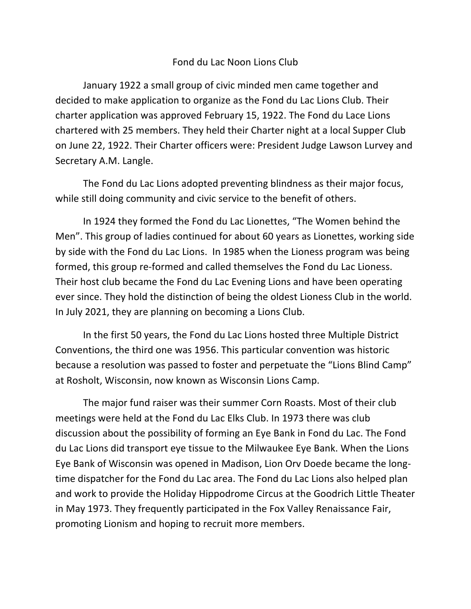#### Fond du Lac Noon Lions Club

January 1922 a small group of civic minded men came together and decided to make application to organize as the Fond du Lac Lions Club. Their charter application was approved February 15, 1922. The Fond du Lace Lions chartered with 25 members. They held their Charter night at a local Supper Club on June 22, 1922. Their Charter officers were: President Judge Lawson Lurvey and Secretary A.M. Langle.

The Fond du Lac Lions adopted preventing blindness as their major focus, while still doing community and civic service to the benefit of others.

In 1924 they formed the Fond du Lac Lionettes, "The Women behind the Men". This group of ladies continued for about 60 years as Lionettes, working side by side with the Fond du Lac Lions. In 1985 when the Lioness program was being formed, this group re-formed and called themselves the Fond du Lac Lioness. Their host club became the Fond du Lac Evening Lions and have been operating ever since. They hold the distinction of being the oldest Lioness Club in the world. In July 2021, they are planning on becoming a Lions Club.

In the first 50 years, the Fond du Lac Lions hosted three Multiple District Conventions, the third one was 1956. This particular convention was historic because a resolution was passed to foster and perpetuate the "Lions Blind Camp" at Rosholt, Wisconsin, now known as Wisconsin Lions Camp.

The major fund raiser was their summer Corn Roasts. Most of their club meetings were held at the Fond du Lac Elks Club. In 1973 there was club discussion about the possibility of forming an Eye Bank in Fond du Lac. The Fond du Lac Lions did transport eye tissue to the Milwaukee Eye Bank. When the Lions Eye Bank of Wisconsin was opened in Madison, Lion Orv Doede became the longtime dispatcher for the Fond du Lac area. The Fond du Lac Lions also helped plan and work to provide the Holiday Hippodrome Circus at the Goodrich Little Theater in May 1973. They frequently participated in the Fox Valley Renaissance Fair, promoting Lionism and hoping to recruit more members.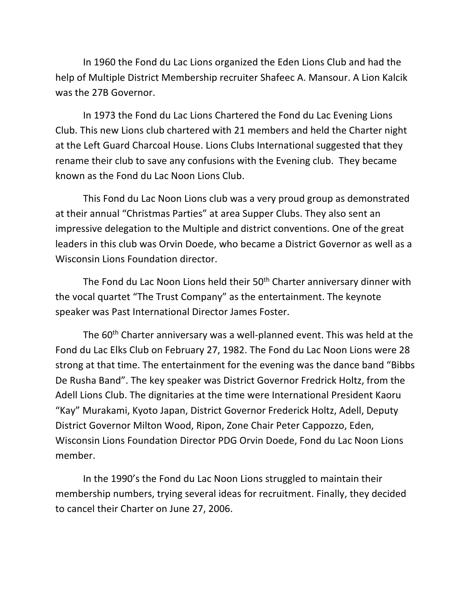In 1960 the Fond du Lac Lions organized the Eden Lions Club and had the help of Multiple District Membership recruiter Shafeec A. Mansour. A Lion Kalcik was the 27B Governor.

In 1973 the Fond du Lac Lions Chartered the Fond du Lac Evening Lions Club. This new Lions club chartered with 21 members and held the Charter night at the Left Guard Charcoal House. Lions Clubs International suggested that they rename their club to save any confusions with the Evening club. They became known as the Fond du Lac Noon Lions Club.

This Fond du Lac Noon Lions club was a very proud group as demonstrated at their annual "Christmas Parties" at area Supper Clubs. They also sent an impressive delegation to the Multiple and district conventions. One of the great leaders in this club was Orvin Doede, who became a District Governor as well as a Wisconsin Lions Foundation director.

The Fond du Lac Noon Lions held their 50<sup>th</sup> Charter anniversary dinner with the vocal quartet "The Trust Company" as the entertainment. The keynote speaker was Past International Director James Foster.

The 60<sup>th</sup> Charter anniversary was a well-planned event. This was held at the Fond du Lac Elks Club on February 27, 1982. The Fond du Lac Noon Lions were 28 strong at that time. The entertainment for the evening was the dance band "Bibbs De Rusha Band". The key speaker was District Governor Fredrick Holtz, from the Adell Lions Club. The dignitaries at the time were International President Kaoru "Kay" Murakami, Kyoto Japan, District Governor Frederick Holtz, Adell, Deputy District Governor Milton Wood, Ripon, Zone Chair Peter Cappozzo, Eden, Wisconsin Lions Foundation Director PDG Orvin Doede, Fond du Lac Noon Lions member.

In the 1990's the Fond du Lac Noon Lions struggled to maintain their membership numbers, trying several ideas for recruitment. Finally, they decided to cancel their Charter on June 27, 2006.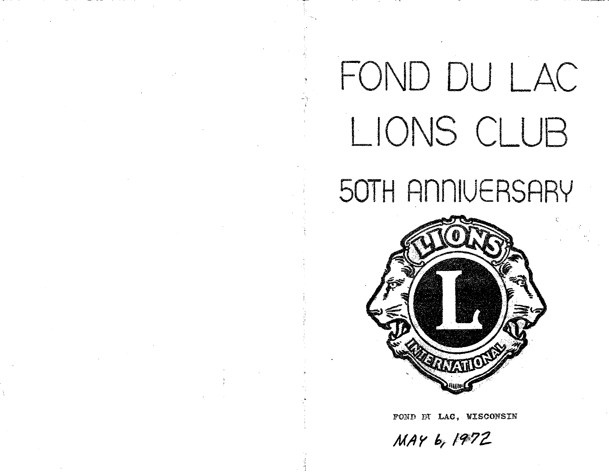# FOND DU LAC LIONS CLUB

# 50TH ANNIVERSARY



FOND DI LAC, WISCONSIN

MAY 6, 1972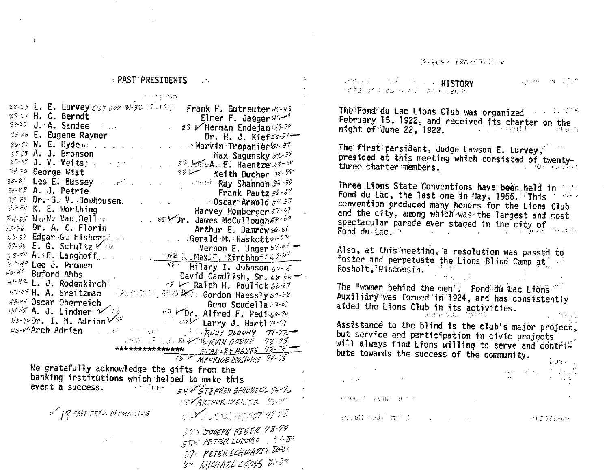随时解明点 学乳房的特别中心

**PAST PRESIDENTS Constitution of the Second Street, HISTORY**  $\sim 10^{11}$ Commonwealth infiduction and spacement s a compartir a propinsi 22-23 L. E. Lurvey 0167.00% 31-32 Sullson Frank H. Gutreuter 47-48 The Fond du Lac Lions Club was organized and the read 23-28 H. C. Berndt Elmer F. Jaeger 23-49<br>24-25 J. A. Sandee 20 23 Flerman Endejan 29-20 February 15, 1922, and received its charter on the night of June 22, 1922, and the California Hard 25-36 E. Eugene Raymer Dr. H. J. Kief  $56-5$ The first persident, Judge Lawson E. Lurvey,  $22.25$  A. J. Bronson presided at this meeting which consisted of twenty-Max Sagunsky 52-33  $25-59$  J. V. Veits and the state of  $72.156$  A. E. Haentze  $55-54$ three charter members. 29.30 George Wist  $\frac{1}{2}$   $\frac{1}{2}$  Keith Bucher  $\frac{1}{2}$  $30-81$  Lee E. Bussey and the contract of Ray Shahnon 35-86 Three Lions State Conventions have been held in the  $34-82$  A. J. Petrie Frank Pautz  $56 - 57$ Fond du Lac, the last one in May, 1956. This with convention produced many honors for the Lions Club  $\begin{array}{lllll}\n\end{array}$   $\begin{array}{llll}\n\begin{array}{llll}\n\begin{array}{llll}\n\end{array} & \text{Harvey Homberger}\n\end{array}$ <br>  $\begin{array}{llll}\n\begin{array}{llll}\n\end{array} & \text{Harvey Homberger}\n\end{array} & \begin{array}{llll}\n\end{array} & \begin{array}{llll}\n\end{array} & \begin{array}{llll}\n\end{array} & \begin{array}{llll}\n\end{array} & \begin{array}{llll}\n\end{array} & \begin{array}{llll}\n\end{array} & \begin{array}{llll}\n\end{array} & \begin{array}{llll$ 梦然终 K. E. Worthing and the city, among which was the largest and most spectacular parade ever staged in the city of Fond du Lac. The contract of the contract of the contract of the contract of the contract of the contract of the Vernon E. Unger  $62.67 -$ <br>  $\frac{142}{15}$ . Max.F. Kirchhoff  $63.64$ <br>
Hilary I. Johnson  $64.65$  $57 - 55$  E. G. Schultz  $\sqrt{16}$ Also, at this meeting, a resolution was passed to 38-39 A: F. Langhoff... foster and perpetuate the Lions Blind Camp at  $\mathbb{R}^{2\times 4^o}$  Leo J. Promen Rosholt, Wisconsin.  $\frac{1}{4}$  Buford Abbs<br>  $\frac{1}{4}$  Buford Abbs<br>  $\frac{1}{4}$  Buford Abbs<br>  $\frac{1}{4}$  Buford Abbs<br>  $\frac{1}{4}$  Buffer Abbs<br>  $\frac{1}{4}$  Buffer And M. Paulick 6b-67  $H^{q-2l}$  Buford Abbs The "women behind the men". Fond du Lac Lions HERE H. A. Breitzman SCOSSIC MARK Cordon Haessly 67-68 Auxiliary was formed in 1924, and has consistently 43-44 Oscar Oberreich  $43-44$  Oscar Oberreich<br> $44-45$  A. J. Lindner  $\sqrt{23}$   $45$  Dr. Alfred F. Pedi 64.70 aided the Lions Club in its activities. alline Vac of the C. and Larry J. Harti 74-71  $45 - 45$  Dr. I. M. Adrian  $\sqrt{24}$ Assistance to the blind is the club's major project, The Same of August DLOURY 71-72- $4b - 47$ Arch Adrian but service and participation in civic projects AND PLOID WARNIN DOEDE 72-73 will always find Lions willing to serve and contri-\*\*\*\*\*\*\*\*\*\*\*\*\*\* STANLEY HAYES 73-74 bute towards the success of the community. 53 MAURICE KOSLOSKE 74-15 born L We gratefully acknowledge the gifts from the  $\label{eq:2.1} \frac{1}{2}\frac{d\omega}{d\omega} = -\frac{d\omega}{d\omega} \frac{d\omega}{d\omega} = -\frac{1}{2} - \frac{d\omega}{d\omega} \frac{d\omega}{d\omega} \frac{d\omega}{d\omega}$ banking institutions which helped to make this  $\mathcal{L}^{\text{max}}$ event a success. A straw 54 VETEPHEN SAKOBERL 75-76 **A PROJECT VOIDE THEFT!** ESVARTHUR WEINER 76-74  $\mathscr{D}$  |  $q$  = AST PRES. IN NOON CLUB 5 X SOL WERDT 71.18 couple and antiser and an action and the state of the state of the state. 39 YOUSEPH REBER 78-79 SSE PETER LUDOULO 50-50 59: PETER SCHWART I 808! 60 MICHAEL BROSS 81-82

 $\mathbf{i}$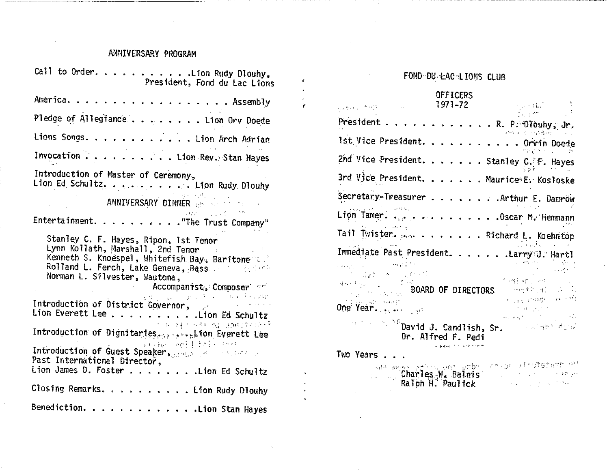#### ANNIVERSARY PROGRAM

 $\mathcal{A}^{\mathcal{A}}$ 

 $\mathbb{R}^2$ 

 $\pmb{\epsilon}$ 

 $\ddot{\phantom{a}}$ 

 $\bullet$ 

 $\bullet$  $\ddot{\phantom{0}}$ 

| Call to Urder. Lion Rudy Dlouhy,<br>President, Fond du Lac Lions                                                                                                                                                                                                                                                                                                                                                                                                                                                                                                           |
|----------------------------------------------------------------------------------------------------------------------------------------------------------------------------------------------------------------------------------------------------------------------------------------------------------------------------------------------------------------------------------------------------------------------------------------------------------------------------------------------------------------------------------------------------------------------------|
| America. Assembly                                                                                                                                                                                                                                                                                                                                                                                                                                                                                                                                                          |
| Pledge of Allegiance Lion Orv Doede                                                                                                                                                                                                                                                                                                                                                                                                                                                                                                                                        |
| Lions Songs. Lion Arch Adrian                                                                                                                                                                                                                                                                                                                                                                                                                                                                                                                                              |
| Invocation Lion Rev. Stan Hayes                                                                                                                                                                                                                                                                                                                                                                                                                                                                                                                                            |
| Introduction of Master of Ceremony,<br>Lion Ed Schultz. Lion Rudy Dlouhy<br>$\label{eq:2.1} \mathcal{L}^{\mathcal{L}}(\mathcal{L}^{\mathcal{L}}(\mathcal{L}^{\mathcal{L}}(\mathcal{L}^{\mathcal{L}}(\mathcal{L}^{\mathcal{L}}(\mathcal{L}^{\mathcal{L}}(\mathcal{L}^{\mathcal{L}}(\mathcal{L}^{\mathcal{L}}(\mathcal{L}^{\mathcal{L}}(\mathcal{L}^{\mathcal{L}}(\mathcal{L}^{\mathcal{L}}(\mathcal{L}^{\mathcal{L}}(\mathcal{L}^{\mathcal{L}}(\mathcal{L}^{\mathcal{L}}(\mathcal{L}^{\mathcal{L}}(\mathcal{L}^{\mathcal{L}}(\mathcal$<br><b>ANNIVERSARY DINNER WEBSTER</b> |
|                                                                                                                                                                                                                                                                                                                                                                                                                                                                                                                                                                            |
| Entertainment. The Trust Company"                                                                                                                                                                                                                                                                                                                                                                                                                                                                                                                                          |
| Stanley C. F. Hayes, Ripon, Ist Tenor<br>Lynn Kollath, Marshall, 2nd Tenor<br>Kenneth S. Knoespel, Whitefish Bay, Baritone<br>Norman L. Silvester, Wautoma,<br><b>Example 2018</b> Accompanist, Composer                                                                                                                                                                                                                                                                                                                                                                   |
| والأقراء فالمتعارف والمتواطئ والموارد والمتوار<br>Introduction of District Governor, and a contract of the service of the service of the service of the service                                                                                                                                                                                                                                                                                                                                                                                                            |
| Lion Everett Lee Lion Ed Schultz                                                                                                                                                                                                                                                                                                                                                                                                                                                                                                                                           |
| i i nis a≰t HH) og abasterer <sup>e</sup><br>Introduction of Dignitaries. See Live Lion Everett Lee                                                                                                                                                                                                                                                                                                                                                                                                                                                                        |
| (b) Ladia and a server between the most of the first of the server<br>Introduction of Guest Speaker, and a common contract of<br>Past International Director,<br>Lion James D. FosterLion Ed Schultz                                                                                                                                                                                                                                                                                                                                                                       |
| Closing Remarks. Lion Rudy Dlouhy                                                                                                                                                                                                                                                                                                                                                                                                                                                                                                                                          |
| Benediction. Lion Stan Hayes                                                                                                                                                                                                                                                                                                                                                                                                                                                                                                                                               |

### FOND DU LAC LIONS CLUB

#### OFFICERS

| およりほう きりり アーバー・バー                                                                                                                                                                                                                                                                                | 1971–72            | 2001 疑い                                                                                                                                                                                                                                                                                                                                                                                     |
|--------------------------------------------------------------------------------------------------------------------------------------------------------------------------------------------------------------------------------------------------------------------------------------------------|--------------------|---------------------------------------------------------------------------------------------------------------------------------------------------------------------------------------------------------------------------------------------------------------------------------------------------------------------------------------------------------------------------------------------|
| President                                                                                                                                                                                                                                                                                        |                    | . . R. P. Diouhy, Jr.<br>ਾ ਦੇ ਅਸ਼ਾਦ ਜ਼ਬੂਰਜ਼                                                                                                                                                                                                                                                                                                                                                 |
| 1st Vice President.                                                                                                                                                                                                                                                                              |                    | . Orvin Doede                                                                                                                                                                                                                                                                                                                                                                               |
| 2nd Vice President. Stanley C. F. Hayes                                                                                                                                                                                                                                                          |                    |                                                                                                                                                                                                                                                                                                                                                                                             |
| 3rd Vice President. Maurice E. Kosloske                                                                                                                                                                                                                                                          |                    |                                                                                                                                                                                                                                                                                                                                                                                             |
| Secretary-Treasurer Arthur E. Damrow                                                                                                                                                                                                                                                             |                    |                                                                                                                                                                                                                                                                                                                                                                                             |
| Lion Tamer. Oscar M. Hemmann                                                                                                                                                                                                                                                                     |                    |                                                                                                                                                                                                                                                                                                                                                                                             |
| Tail Twister.  Richard L. Koehntop                                                                                                                                                                                                                                                               |                    |                                                                                                                                                                                                                                                                                                                                                                                             |
| Immediate Past President. Larry J. Hartl<br>in Albert 1974<br>$\mathcal{L}_{\mathcal{A}}$ and $\mathcal{L}_{\mathcal{A}}$ are $\mathcal{L}_{\mathcal{A}}$ . Then $\mathcal{L}_{\mathcal{A}}$                                                                                                     |                    | $\mathcal{O}(\mathcal{O}_\mathcal{A})$ , and $\mathcal{O}(\mathcal{O}_\mathcal{A})$                                                                                                                                                                                                                                                                                                         |
| $\label{eq:2.1} \mathcal{A} \leftarrow \mathcal{A} \left( \mathbb{I}_{\{ \mathcal{A} \}} \right) \left( \mathbb{I}_{\{ \mathcal{A} \}} \right) \left( \mathbb{I}_{\{ \mathcal{A} \}} \right) \left( \mathbb{I}_{\{ \mathcal{A} \}} \right)$<br><b>SACTORY BOARD OF DIRECTORS</b><br>an Secretary |                    | င်းအနုံးရေး ခေတ္တာ (၂)<br>- 小分付する (性) ショール<br>in a provincia con a servitati                                                                                                                                                                                                                                                                                                                |
| One Year.                                                                                                                                                                                                                                                                                        |                    | $\label{eq:2.1} \mathcal{L}^{\mathcal{A}}(\mathcal{A}^{\mathcal{A}}) = \mathcal{L}^{\mathcal{A}}(\mathcal{A}^{\mathcal{A}}) = \mathcal{L}^{\mathcal{A}}(\mathcal{A}^{\mathcal{A}})$                                                                                                                                                                                                         |
| <b>Example 2008</b> David J. Candlish, Sr.                                                                                                                                                                                                                                                       | Dr. Alfred F. Pedi | $\label{eq:4} \begin{split} \mathbf{m}_{\mathcal{S}}^{\mathcal{S}}\left(\mathbf{r},\mathbf{x}_{\mathcal{S}}^{\mathcal{S}}\right) & = \mathbf{m}_{\mathcal{S}}^{\mathcal{S}}\left(\mathbf{r},\mathbf{r}_{\mathcal{S}}^{\mathcal{S}}\right) & = \mathbf{m}_{\mathcal{S}}^{\mathcal{S}}\left(\mathbf{r},\mathbf{r}_{\mathcal{S}}^{\mathcal{S}}\right) \end{split}$<br><b>Contra Bibliotter</b> |
| Two Years .                                                                                                                                                                                                                                                                                      |                    |                                                                                                                                                                                                                                                                                                                                                                                             |
|                                                                                                                                                                                                                                                                                                  |                    | sat mege zehrs von anbou nekak zindaetem oli<br>and <b>Charles<sub>o</sub>W. Balmis</b> and the contract of the <b>Ralph H. Paulick</b>                                                                                                                                                                                                                                                     |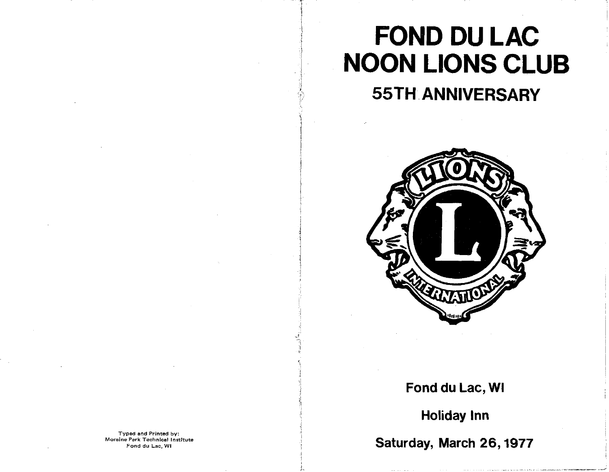# **FOND DU LAC NOON LIONS CLUB**

**55TH ANNIVERSARY** 



### Fond du Lac, WI

**Holiday Inn** 

Saturday, March 26, 1977

Typed and Printed by: Moraine Park Technical Institute Fond du Lac, WI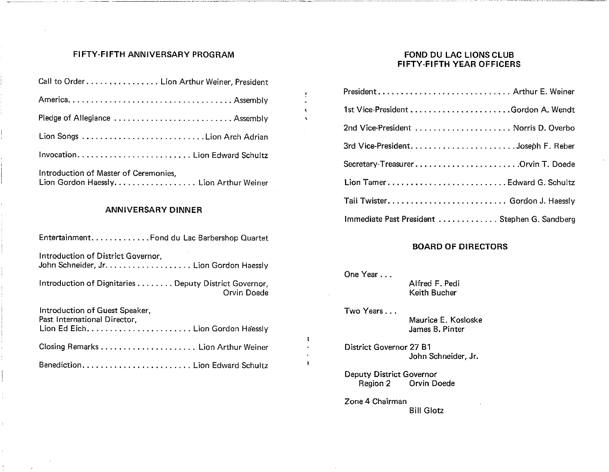#### FIFTY-FIFTH ANNIVERSARY PROGRAM

| Call to Order Lion Arthur Weiner, President                                      |
|----------------------------------------------------------------------------------|
|                                                                                  |
|                                                                                  |
|                                                                                  |
| Invocation Lion Edward Schultz                                                   |
| Introduction of Master of Ceremonies,<br>Lion Gordon Haessly. Lion Arthur Weiner |

#### **ANNIVERSARY DINNER**

| Entertainment. Fond du Lac Barbershop Quartet                                 |  |
|-------------------------------------------------------------------------------|--|
| Introduction of District Governor,<br>John Schneider, Jr. Lion Gordon Haessly |  |
| Introduction of Dignitaries  Deputy District Governor,<br>Orvin Doede         |  |
| Introduction of Guest Speaker,<br>Past International Director,                |  |
|                                                                               |  |
|                                                                               |  |

#### FOND DU LAC LIONS CLUB FIFTY-FIFTH YEAR OFFICERS

| President Arthur E. Weiner                   |
|----------------------------------------------|
|                                              |
| 2nd Vice-President  Norris D. Overbo         |
|                                              |
| Secretary-TreasurerOrvin T. Doede            |
| Lion TamerEdward G. Schultz                  |
|                                              |
| Immediate Past President Stephen G. Sandberg |

#### **BOARD OF DIRECTORS**

| One Year                                         | Alfred F. Pedi<br>Keith Bucher         |
|--------------------------------------------------|----------------------------------------|
| Two Years                                        | Maurice E. Kosloske<br>James B. Pinter |
| District Governor 27 B1                          | John Schneider, Jr.                    |
| Deputy District Governor<br>Region 2 Orvin Doede |                                        |

 $\hat{\textbf{r}}$ 

 $\mathbf{r}$ 

Zone 4 Chairman **Bill Glotz**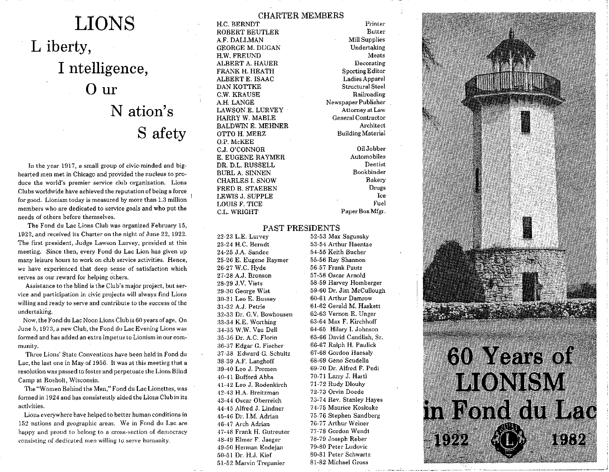## **LIONS** L iberty, I ntelligence,  $0<sub>ur</sub>$ N ation's S afety

In the year 1917, a small group of civic-minded and bighearted men met in Chicago and provided the nucleus to produce the world's premier service club organization. Lions Clubs worldwide have achieved the reputation of being a force for good. Lionism today is measured by more than 1.3 million members who are dedicated to service goals and who put the needs of others before themselves.

The Fond du Lac Lions Club was organized February 15, 1922, and received its Charter on the night of June 22, 1922. The first president, Judge Lawson Lurvey, presided at this meeting. Since then, every Fond du Lac Lion has given up many leisure hours to work on club service activities. Hence, we have experienced that deep sense of satisfaction which serves as our reward for helping others.

Assistance to the blind is the Club's major project, but service and participation in civic projects will always find Lions willing and ready to serve and contribute to the success of the undertaking.

Now, the Fond du Lac Noon Lions Club is 60 years of age. On June 5, 1973, a new Club, the Fond du Lac Evening Lions was formed and has added an extra impetus to Lionism in our community.

Three Lions' State Conventions have been held in Fond du Lac, the last one in May of 1956. It was at this meeting that a resolution was passed to foster and perpetuate the Lions Blind Camp at Rosholt, Wisconsin.

The "Women Behind the Men," Fond du Lac Lionettes, was formed in 1924 and has consistently aided the Lions Club in its activities.

Lions everywhere have helped to better human conditions in 152 nations and geographic areas. We in Fond du Lac are happy and proud to belong to a cross-section of democracy consisting of dedicated men willing to serve humanity.

H.C. BERNDT ROBERT BEUTLER A.F. DALLMAN **GEORGE M. DUGAN** H.W. FREUND ALBERT A. HAUER FRANK H. HEATH **ALBERT E. ISAAC** DAN KOTTKE C.W. KRAUSE A.H. LANGE **LAWSON E. LURVEY** HARRY W. MABLE **BALDWIN E. MEHNER** OTTO H. MERZ O.P. McKEE C.J. O'CONNOR E. EUGENE RAYMER DR. D.L. RUSSELL **BURL A. SINNEN CHARLES I. SNOW** FRED B. STAEBEN LEWIS J. SUPPLE LOUIS F. TICE **C.L. WRIGHT** 

**CHARTER MEMBERS** Printer **Butter Mill Supplies** Undertaking Meats Decorating Sporting Editor Ladies Apparel Structural Steel Railroading Newspaper Publisher Attorney at Law General Contractor Architect **Building Material** 

> Oil Jobber Automobiles Dentist **Bookbinder Bakery** Drugs Ice Fuel Paper Box Mfgr.

#### PAST PRESIDENTS

22-23 L.E. Lurvey 23-24 H.C. Berndt 24-25 J.A. Sandee 25-26 E. Eugene Raymer 26-27 W.C. Hyde 27-28 A.J. Bronson 28-29 J.V. Viets 29-30 George Wist 30-31 Leo E. Bussey 31-32 A.J. Petrie 32-33 Dr. G.V. Bowhousen 33-34 K.E. Worthing 34-35 W.W. Vau Dell 35-36 Dr. A.C. Florin 36-37 Edgar G. Fischer 37-38 Edward G. Schultz 38-39 A.F. Langhoff 39-40 Leo J. Promen 40-41 Bufford Abbs 41-42 Leo J. Rodenkirch 42-43 H.A. Breitzman 43-44 Oscar Oberreich 44-45 Alfred J. Lindner 45-46 Dr. I.M. Adrian 46-47 Arch Adrian 47-48 Frank H. Gutreuter 48-49 Elmer F. Jaeger 49-50 Herman Endeian 50-51 Dr. H.J. Kief 51-52 Marvin Trepanier

52-53 Max Sagunsky 53-54 Arthur Haentze 54-55 Keith Bucher 55-56 Ray Shannon 56-57 Frank Pautz 57-58 Oscar Arnold 58-59 Harvey Homberger 59-60 Dr. Jim McCullough 60-61 Arthur Damrow 61-62 Gerald M. Haskett 62-63 Vernon E. Unger 63-64 Max F. Kirchhoff 64-65 Hilary I. Johnson 65-66 David Candlish, Sr. 66-67 Ralph H. Paulick 67-68 Gordon Haessly 68-69 Geno Scudella 69-70 Dr. Alfred F. Pedi 70-71 Larry J. Haitl 71-72 Rudy Dlouhy 72-73 Orvin Doede 73-74 Rev. Stanlev Haves 74-75 Maurice Kosloske 75-76 Stephen Sandberg 76-77 Arthur Weiner 77-78 Gordon Wendt 78-79 Joseph Reber 79-80 Peter Ludovic 80-81 Peter Schwartz 81-82 Michael Gross

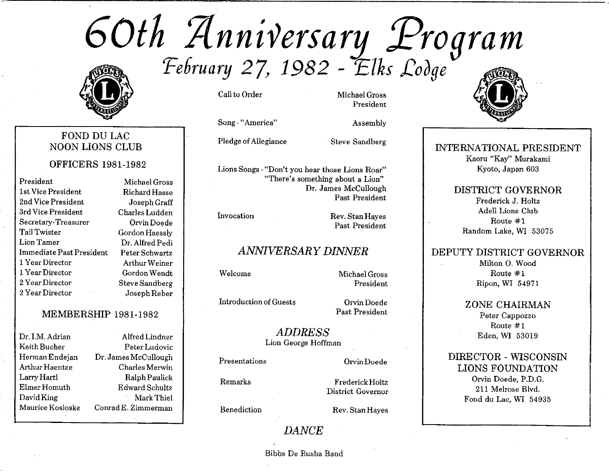60th Anniversary Program



#### FOND DU LAC **NOON LIONS CLUB**

**OFFICERS 1981-1982** 

President 1st Vice President 2nd Vice President. 3rd Vice President Secretary-Treasurer Tail Twister Lion Tamer Immediate Past President 1 Year Director 1 Year Director 2 Year Director 2 Year Director

Michael Gross Richard Hasse Joseph Graff Charles Ludden Orvin Doede Gordon Haessly Dr. Alfred Pedi Peter Schwartz Arthur Weiner Gordon Wendt **Steve Sandberg** Joseph Reber

#### **MEMBERSHIP 1981-1982**

Dr. I.M. Adrian Alfred Lindner Keith Bucher Peter Ludovic Herman Endejan Dr. James McCullough Arthur Haentze Charles Merwin Larry Hartl Ralph Paulick Elmer Homuth Edward Schultz David King Mark Thiel Maurice Kosloske Conrad E. Zimmerman

Call to Order

Song-"America"

Pledge of Allegiance

**Steve Sandberg** 

Assembly

Michael Gross President

Lions Songs - "Don't you hear those Lions Roar" "There's something about a Lion" Dr. James McCullough Past President

Invocation

Rev. Stan Hayes Past President

### **ANNIVERSARY DINNER**

Welcome

Michael Gross President

**Introduction of Guests** 

Orvin Doede Past President

**ADDRESS** Lion George Hoffman

Presentations

Remarks

Orvin Doede

Frederick Holtz District Governor

Benediction

Rev. Stan Haves

#### **DANCE**

Bibbs De Rusha Band



INTERNATIONAL PRESIDENT Kaoru "Kay" Murakami Kyoto, Japan 603

### **DISTRICT GOVERNOR**

Frederick J. Holtz Adell Lions Club Route  $#1$ Random Lake, WI 53075

#### DEPUTY DISTRICT GOVERNOR

Milton O. Wood Route  $#1$ Ripon, WI 54971

**ZONE CHAIRMAN** Peter Cappozzo Route  $#1$ 

Eden, WI 53019

DIRECTOR - WISCONSIN **LIONS FOUNDATION** Orvin Doede, P.D.G. 211 Melrose Blvd. Fond du Lac, WI 54935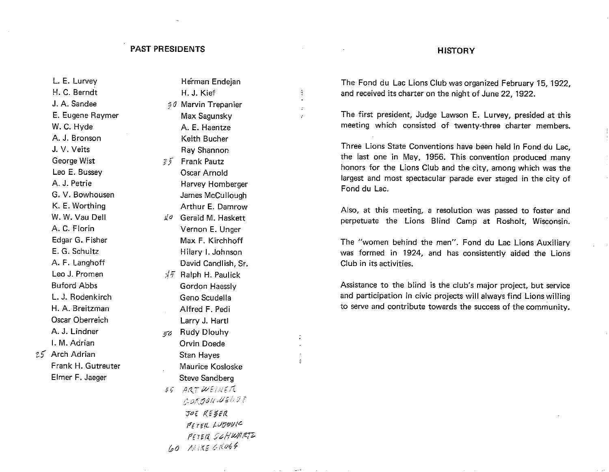#### **PAST PRESIDENTS**

#### L. E. Lurvey H. C. Berndt J. A. Sandee E. Eugene Raymer W. C. Hyde A. J. Bronson J. V. Veits George Wist Leo E. Bussey A. J. Petrie G. V. Bowhousen K. E. Worthing W. W. Vau Dell A. C. Florin Edgar G. Fisher E. G. Schultz A. F. Langhoff Leo J. Promen **Buford Abbs** L. J. Rodenkirch H. A. Breitzman Oscar Oberreich A. J. Lindner I. M. Adrian 25 Arch Adrian Frank H. Gutreuter Elmer F. Jaeger

Herman Endeian H. J. Kief %0 Marvin Trepanier Max Sagunsky A. E. Haentze Keith Bucher Ray Shannon 35 Frank Pautz Oscar Arnold Harvey Homberger James McCullough Arthur E. Damrow  $\sharp$ <sup>o</sup> Gerald M. Haskett Vernon E. Unger Max F. Kirchhoff Hilary I. Johnson David Candlish, Sr.  $\sqrt[3]{7}$  Ralph H. Paulick Gordon Haessly Geno Scudella Alfred F. Pedi Larry J. Hartl 50 Rudy Dlouhy **Orvin Doede Stan Haves** Maurice Kosloske **Steve Sandberg** 55 ARTWEINER CORGON WELLT JOE RESER PITER LUBOUIC PETER SCHWARTZ 60 MIKE GROSS

#### **HISTORY**

The Fond du Lac Lions Club was organized February 15, 1922. and received its charter on the night of June 22, 1922.

The first president, Judge Lawson E. Lurvey, presided at this meeting which consisted of twenty-three charter members.

Three Lions State Conventions have been held in Fond du Lac. the last one in May, 1956. This convention produced many honors for the Lions Club and the city, among which was the largest and most spectacular parade ever staged in the city of Fond du Lac.

Also, at this meeting, a resolution was passed to foster and perpetuate the Lions Blind Camp at Rosholt, Wisconsin.

The "women behind the men". Fond du Lac Lions Auxiliary was formed in 1924, and has consistently aided the Lions Club in its activities.

Assistance to the blind is the club's major project, but service and participation in civic projects will always find Lions willing to serve and contribute towards the success of the community.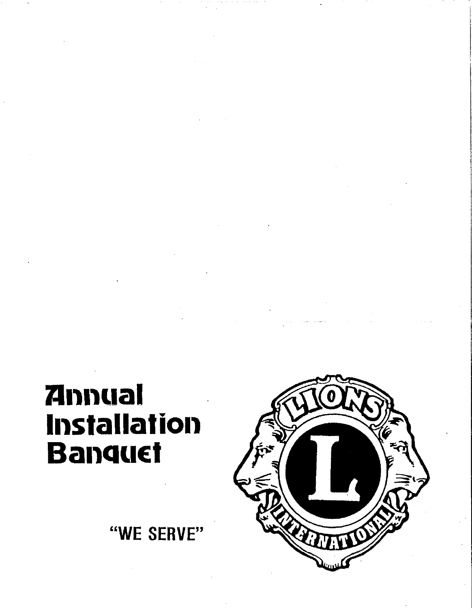# **Annual** Installation **Banquet**

"WE SERVE"

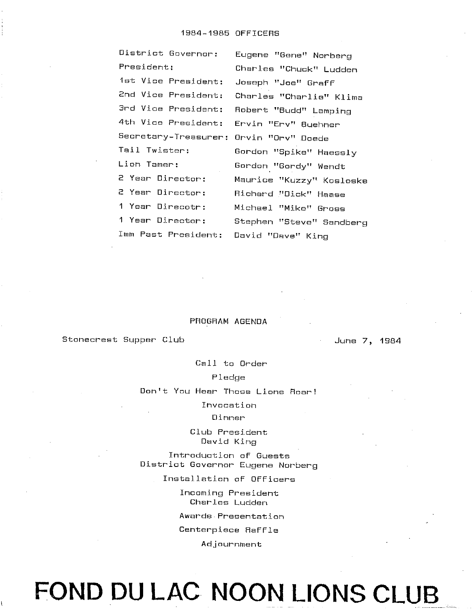| District Governor:                    | Eugene "Gene" Norberg    |  |  |
|---------------------------------------|--------------------------|--|--|
| President:                            | Charles "Chuck" Ludden   |  |  |
| 1st Vice President:                   | Joseph "Joe" Graff       |  |  |
| 2nd Vice President:                   | Charles "Charlie" Klima  |  |  |
| 3rd Vice President:                   | Robert "Budd" Lamping    |  |  |
| 4th Vice President:                   | Ervin "Erv" Buehner      |  |  |
| Secretary-Treasurer:                  | Orvin "Orv" Doede        |  |  |
| Tail Twister:                         | Gordon "Spike" Haessly   |  |  |
| Lion Tamer:                           | Gordon "Gordy" Wendt     |  |  |
| 2 Year Director:                      | Maurice "Kuzzy" Kosloske |  |  |
| 2 Year Director:                      | Richard "Dick" Haase     |  |  |
| 1 Year Direcotr:                      | Michael "Mike" Gross     |  |  |
| 1 Year Director:                      | Stephen "Steve" Sandberg |  |  |
| Imm Past President: David "Dave" King |                          |  |  |
|                                       |                          |  |  |

#### PROGRAM AGENDA

Stonecrest Supper Club

June 7, 1984

Call to Order

#### Pledge

Don't You Hear Those Lions Roar!

Invocation

Dinner

Club President David King

Introduction of Guests District Governor Eugene Norberg

Installation of Officers

Incoming President Charles Ludden

Awards Presentation

Centerpiece Raffle

Adjournment

FOND DU LAC NOON LIONS CLUB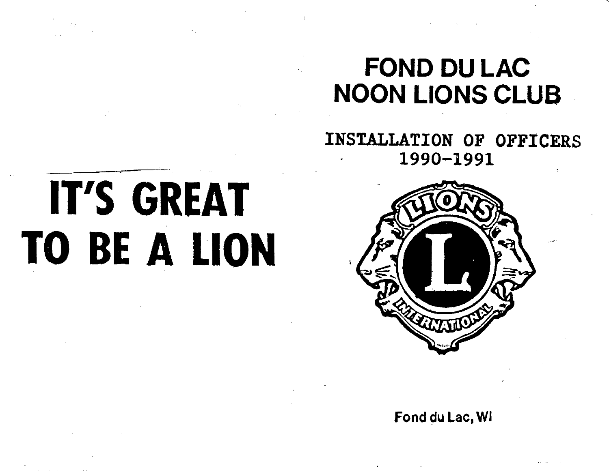# FOND DU LAC **NOON LIONS CLUB**

INSTALLATION OF OFFICERS 1990-1991

# IT'S GREAT TO BE A LION

Fond du Lac, WI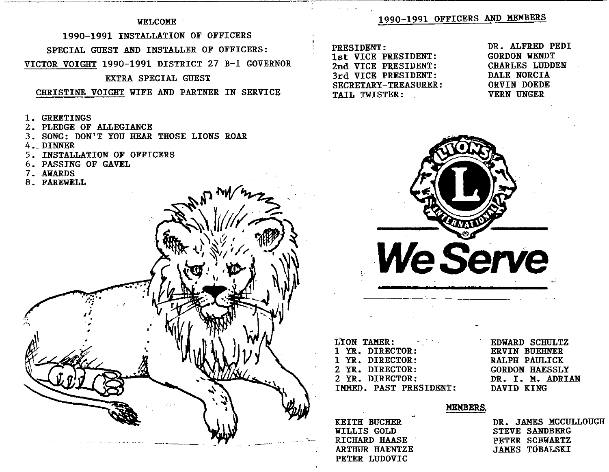#### **WELCOME**

### 1990-1991 INSTALLATION OF OFFICERS SPECIAL GUEST AND INSTALLER OF OFFICERS: VICTOR VOIGHT 1990-1991 DISTRICT 27 B-1 GOVERNOR EXTRA SPECIAL GUEST

#### CHRISTINE VOIGHT WIFE AND PARTNER IN SERVICE

- 1. GREETINGS
- 2. PLEDGE OF ALLEGIANCE
- 3. SONG: DON'T YOU HEAR THOSE LIONS ROAR
- 4. DINNER
- 5. INSTALLATION OF OFFICERS



#### 1990-1991 OFFICERS AND MEMBERS

PRESIDENT: 1st VICE PRESIDENT: 2nd VICE PRESIDENT: 3rd VICE PRESIDENT: SECRETARY-TREASURER: TAIL TWISTER:

#### DR. ALFRED PEDI **GORDON WENDT CHARLES LUDDEN** DALE NORCIA ORVIN DOEDE **VERN UNGER**



| <b>LION TAMER:</b>     | Е |
|------------------------|---|
| 1 YR. DIRECTOR:        | E |
| 1 YR. DIRECTOR:        | R |
| 2 YR. DIRECTOR:        | G |
| 2 YR. DIRECTOR:        | D |
| IMMED. PAST PRESIDENT: | D |

**DWARD SCHULTZ RVIN BUEHNER ALPH PAULICK** ORDON HAESSLY R. I. M. ADRIAN **AVID KING** 

#### **MEMBERS.**

**KEITH BUCHER** WILLIS GOLD RICHARD HAASE **ARTHUR HAENTZE** PETER LUDOVIC

DR. JAMES MCCULLOUGH **STEVE SANDBERG** PETER SCHWARTZ JAMES TOBALSKI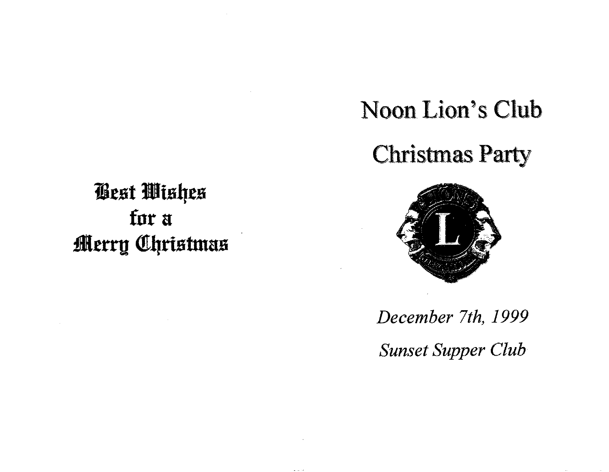**Best Wishes** for a **Merry Christmas** 

# Noon Lion's Club

**Christmas Party** 



December 7th, 1999

**Sunset Supper Club**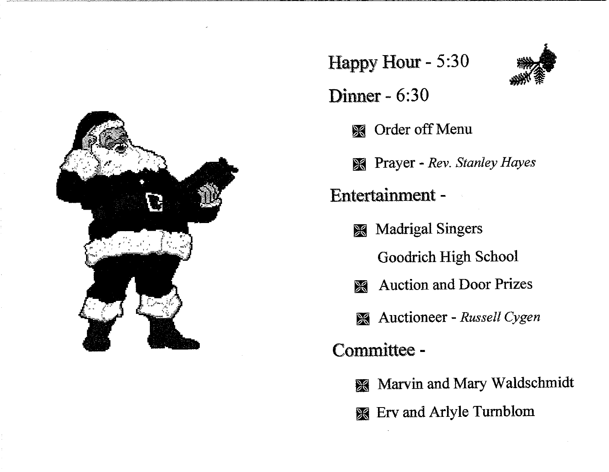

### Happy Hour - 5:30

- Dinner  $6:30$ 
	- **S** Order off Menu
	- **Extrac** Prayer Rev. Stanley Hayes

Entertainment -

**Madrigal Singers** 兴

Goodrich High School

- **Auction and Door Prizes**  $\frac{1}{2}$
- **Auctioneer** Russell Cygen

Committee -

- Marvin and Mary Waldschmidt
- **Erv** and Arlyle Turnblom

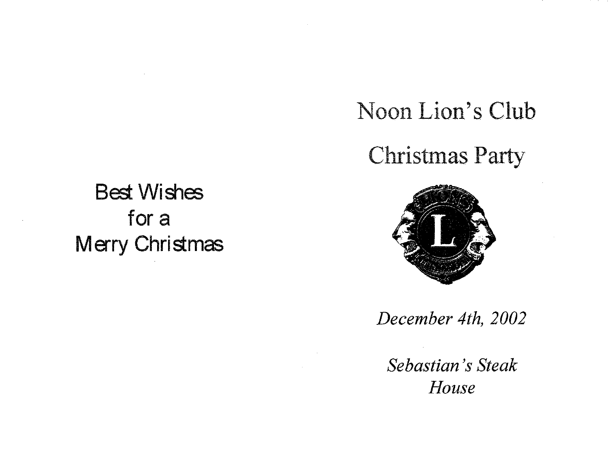## Noon Lion's Club

**Christmas Party** 

**Best Wishes** for a **Merry Christmas** 



December 4th, 2002

Sebastian's Steak House